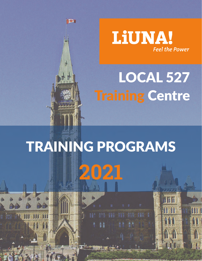# LOCAL 527 **Training Centre**

**LiUNA!** 

**Feel the Power** 

# TRAINING PROGRAMS **2021**

西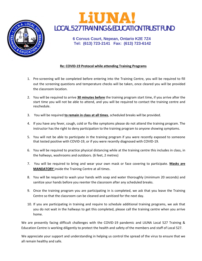

## **LiUNA** LOCAL 527 TRAINING & EDUCATION TRUST FUND

**6 Corvus Court, Nepean, Ontario K2E 7Z4 Tel: (613) 723-2141 Fax: (613) 723-6142**

#### **Re: COVID-19 Protocol while attending Training Programs**

- 1. Pre-screening will be completed before entering into the Training Centre, you will be required to fill out the screening questions and temperature checks will be taken, once cleared you will be provided the classroom location.
- 2. You will be required to arrive **30 minutes before** the training program start time, if you arrive after the start time you will not be able to attend, and you will be required to contact the training centre and reschedule.
- 3. You will be required **to remain in class at all times**, scheduled breaks will be provided.
- 4. If you have any fever, cough, cold or flu-like symptoms please do not attend the training program. The instructor has the right to deny participation to the training program to anyone showing symptoms.
- 5. You will not be able to participate in the training program if you were recently exposed to someone that tested positive with COVID-19, or if you were recently diagnosed with COVID-19.
- 6. You will be required to practice physical distancing while at the training centre this includes in class, in the hallways, washrooms and outdoors. (6 feet, 2 metres)
- 7. You will be required to bring and wear your own mask or face covering to participate. **Masks are MANDATORY** inside the Training Centre at all times.
- 8. You will be required to wash your hands with soap and water thoroughly (minimum 20 seconds) and sanitize your hands before you reenter the classroom after any scheduled breaks.
- 9. Once the training program you are participating in is completed, we ask that you leave the Training Centre so that the classroom can be cleaned and sanitized for the next day.
- 10. If you are participating in training and require to schedule additional training programs, we ask that you do not wait in the hallways to get this completed, please call the training centre when you arrive home.

We are presently facing difficult challenges with the COVID-19 pandemic and LIUNA Local 527 Training & Education Centre is working diligently to protect the health and safety of the members and staff of Local 527.

We appreciate your support and understanding in helping us control the spread of the virus to ensure that we all remain healthy and safe.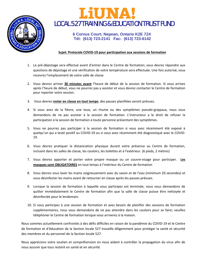

## LIUNA! LOCAL 527 TRAINING & EDUCATION TRUST FUND

#### **6 Corvus Court, Nepean, Ontario K2E 7Z4 Tél: (613) 723-2141 Fac: (613) 723-6142**

#### **Sujet: Protocole COVID-19 pour participation aux sessions de formation**

- 1. Le pré-dépistage sera effectué avant d'entrer dans le Centre de formation; vous devrez répondre aux questions de dépistage et une vérification de votre température sera effectuée. Une fois autorisé, vous recevrez l'emplacement de votre salle de classe.
- 2. Vous devrez arriver **30 minutes avant** l'heure de début de la session de formation. Si vous arrivez après l'heure de début, vous ne pourrez pas y assister et vous devrez contacter le Centre de formation pour reporter votre session.
- 3. Vous devrez **rester en classe en tout temps**; des pauses planifiées seront prévues.
- 4. Si vous avez de la fièvre, une toux, un rhume ou des symptômes pseudo-grippaux, nous vous demandons de ne pas assister à la session de formation. L'instructeur a le droit de refuser la participation à la session de formation à toute personne présentant des symptômes.
- 5. Vous ne pourrez pas participer à la session de formation si vous avez récemment été exposé à quelqu'un qui a testé positif au COVID-19 ou si vous avez récemment été diagnostiqué avec le COVID-19.
- 6. Vous devrez pratiquer la distanciation physique durant votre présence au Centre de formation, incluant dans les salles de classe, les couloirs, les toilettes et à l'extérieur. (6 pieds, 2 mètres) ,
- 7. Vous devrez apporter et porter votre propre masque ou un couvre-visage pour participer. **Les masques sont OBLIGATOIRES** en tout temps à l'intérieur du Centre de formation
- 8. Vous devrez vous laver les mains soigneusement avec du savon et de l'eau (minimum 20 secondes) et vous désinfecter les mains avant de retourner en classe après les pauses prévues.
- 9. Lorsque la session de formation à laquelle vous participez est terminée, nous vous demandons de quitter immédiatement le Centre de formation afin que la salle de classe puisse être nettoyée et désinfectée pour le lendemain.
- 10. Si vous participez à une session de formation et avez besoin de planifier des sessions de formation supplémentaires, nous vous demandons de ne pas attendre dans les couloirs pour se faire; veuillez téléphoner le Centre de formation lorsque vous arriverez à la maison.

Nous sommes actuellement confrontés à des défis difficiles en raison de la pandémie du COVID-19 et le Centre de formation et d'éducation de la Section locale 527 travaille diligemment pour protéger la santé et sécurité des membres et du personnel de la Section locale 527.

Nous apprécions votre soutien et compréhension en nous aidant à contrôler la propagation du virus afin de nous assurer que tous restent en santé et en sécurité.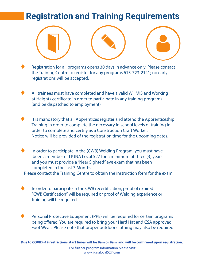## **Registration and Training Requirements**

Registration for all programs opens 30 days in advance only. Please contact the Training Centre to register for any programs 613-723-2141; no early registrations will be accepted.

All trainees must have completed and have a valid WHMIS and Working at Heights certificate in order to participate in any training programs. (and be dispatched to employment)

It is mandatory that all Apprentices register and attend the Apprenticeship Training in order to complete the necessary in school levels of training in order to complete and certify as a Construction Craft Worker. Notice will be provided of the registration time for the upcoming dates.

In order to participate in the (CWB) Welding Program, you must have been a member of LIUNA Local 527 for a minimum of three (3) years and you must provide a "Near Sighted" eye exam that has been completed in the last 3 Months.

Please contact the Training Centre to obtain the instruction form for the exam.

In order to participate in the CWB recertification, proof of expired "CWB Certification" will be required or proof of Welding experience or training will be required.

Personal Protective Equipment (PPE) will be required for certain programs being offered. You are required to bring your Hard Hat and CSA approved Foot Wear. Please note that proper outdoor clothing may also be required.

For further program information please visit: For further program information please visit: **Due to COVID -19 restrictions start times will be 8am or 9am and will be confirmed upon registration.**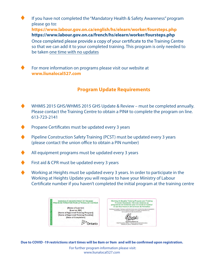If you have not completed the "Mandatory Health & Safety Awareness" program please go to**:**

**https://www.labour.gov.on.ca/english/hs/elearn/worker/foursteps.php https://www.labour.gov.on.ca/french/hs/elearn/worker/foursteps.php**

Once completed please provide a copy of your certificate to the Training Centre so that we can add it to your completed training. This program is only needed to be taken one time with no updates

For more information on programs please visit our website at **www.liunalocal527.com**

#### **Program Update Requirements**

- WHMIS 2015 GHS/WHMIS 2015 GHS Update & Review must be completed annually WHMIS 2015 GHS/WHMIS 2015 GHS Update & Review must be completed annually. Please contact the Training Centre to obtain a PIN# to complete the program on line. 613-723-2141
- Propane Certificates must be updated every 3 years
- Pipeline Construction Safety Training (PCST) must be updated every 3 years Pipeline Construction Safety Training (PCST) must be updated every 3 years (please contact the union office to obtain a PIN number)
- $A$ l equipment programs must be updated every  $3$ All equipment programs must be updated every 3 years
- First aid & CPR must be updated every 3 years
- Working at Heights must be updated every 3 years. In order to participate in the Working at Heights must be updated every 3 years. In order to participate in the Working at Heights Update you will require to have your Ministry of Labour Working at Heights Update you will require to have your Ministry of Labour Certificate number if you haven't completed the initial program at the training centre



**Due to COVID -19 restrictions start times will be 8am or 9am and will be confirmed upon registration.**

For further program information please visit: www.liunalocal527.com www.liunalocal527.com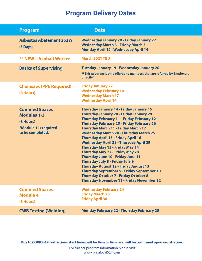| <b>Program</b>                                                                                         | <b>Date</b>                                                                                                                                                                                                                                                                                                                                                                                                                                                                                                                                                                                                                                                                                                                                                                        |
|--------------------------------------------------------------------------------------------------------|------------------------------------------------------------------------------------------------------------------------------------------------------------------------------------------------------------------------------------------------------------------------------------------------------------------------------------------------------------------------------------------------------------------------------------------------------------------------------------------------------------------------------------------------------------------------------------------------------------------------------------------------------------------------------------------------------------------------------------------------------------------------------------|
| <b>Asbestos Abatement 253W</b><br>$(3$ Days)                                                           | <b>Wednesday January 20 - Friday January 22</b><br><b>Wednesday March 3 - Friday March 5</b><br><b>Monday April 12 - Wednesday April 14</b>                                                                                                                                                                                                                                                                                                                                                                                                                                                                                                                                                                                                                                        |
| <b>** NEW - Asphalt Worker</b>                                                                         | <b>March 2021 TBD</b>                                                                                                                                                                                                                                                                                                                                                                                                                                                                                                                                                                                                                                                                                                                                                              |
| <b>Basics of Supervising</b>                                                                           | <b>Tuesday January 19 - Wednesday January 20</b><br>** This program is only offered to members that are referred by Employers<br>directly**                                                                                                                                                                                                                                                                                                                                                                                                                                                                                                                                                                                                                                        |
| <b>Chainsaw, (PPE Required)</b><br>(8 Hours)                                                           | <b>Friday January 22</b><br><b>Wednesday February 10</b><br><b>Wednesday March 17</b><br><b>Wednesday April 14</b>                                                                                                                                                                                                                                                                                                                                                                                                                                                                                                                                                                                                                                                                 |
| <b>Confined Spaces</b><br><b>Modules 1-3</b><br>(8 Hours)<br>*Module 1 is required<br>to be completed. | <b>Thursday January 14 - Friday January 15</b><br><b>Thursday January 28 - Friday January 29</b><br><b>Thursday February 11 - Friday February 12</b><br><b>Thursday February 25 - Friday February 26</b><br><b>Thursday March 11 - Friday March 12</b><br><b>Wednesday March 24 - Thursday March 25</b><br><b>Thursday April 15 - Friday April 16</b><br><b>Wednesday April 28 - Thursday April 29</b><br><b>Thursday May 13 - Friday May 14</b><br><b>Thursday May 27 - Friday May 28</b><br><b>Thursday June 10 - Friday June 11</b><br><b>Thursday July 8 - Friday July 9</b><br><b>Thursday August 12 - Friday August 13</b><br>Thursday September 9 - Friday September 10<br><b>Thursday October 7 - Friday October 8</b><br><b>Thursday November 11 - Friday November 12</b> |
| <b>Confined Spaces</b><br><b>Module 4</b><br>(8 Hours)                                                 | <b>Wednesday February 24</b><br><b>Friday March 26</b><br><b>Friday April 30</b>                                                                                                                                                                                                                                                                                                                                                                                                                                                                                                                                                                                                                                                                                                   |
| <b>CWB Testing (Welding)</b>                                                                           | <b>Monday February 22 - Thursday February 25</b>                                                                                                                                                                                                                                                                                                                                                                                                                                                                                                                                                                                                                                                                                                                                   |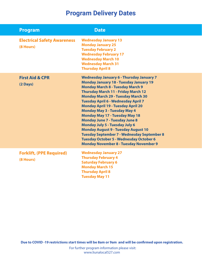| <b>Program</b>                                  | <b>Date</b>                                                                                                                                                                                                                                                                                                                                                                                                                                                                                                                                                                                                                                                                                         |
|-------------------------------------------------|-----------------------------------------------------------------------------------------------------------------------------------------------------------------------------------------------------------------------------------------------------------------------------------------------------------------------------------------------------------------------------------------------------------------------------------------------------------------------------------------------------------------------------------------------------------------------------------------------------------------------------------------------------------------------------------------------------|
| <b>Electrical Safety Awareness</b><br>(8 Hours) | <b>Wednesday January 13</b><br><b>Monday January 25</b><br><b>Tuesday February 2</b><br><b>Wednesday February 17</b><br><b>Wednesday March 10</b><br><b>Wednesday March 31</b><br><b>Thursday April 8</b>                                                                                                                                                                                                                                                                                                                                                                                                                                                                                           |
| <b>First Aid &amp; CPR</b><br>$(2$ Days)        | <b>Wednesday January 6 - Thursday January 7</b><br><b>Monday January 18 - Tuesday January 19</b><br><b>Monday March 8 - Tuesday March 9</b><br><b>Thursday March 11 - Friday March 12</b><br><b>Monday March 29 - Tuesday March 30</b><br>Tuesday April 6 - Wednesday April 7<br><b>Monday April 19 - Tuesday April 20</b><br><b>Monday May 3 - Tuesday May 4</b><br><b>Monday May 17 - Tuesday May 18</b><br><b>Monday June 7 - Tuesday June 8</b><br><b>Monday July 5 - Tuesday July 6</b><br><b>Monday August 9 - Tuesday August 10</b><br><b>Tuesday September 7 - Wednesday September 8</b><br><b>Tuesday October 5 - Wednesday October 6</b><br><b>Monday November 8 - Tuesday November 9</b> |
| <b>Forklift, (PPE Required)</b><br>(8 Hours)    | <b>Wednesday January 27</b><br><b>Thursday February 4</b><br><b>Saturday February 6</b><br><b>Monday March 15</b><br><b>Thursday April 8</b><br><b>Tuesday May 11</b>                                                                                                                                                                                                                                                                                                                                                                                                                                                                                                                               |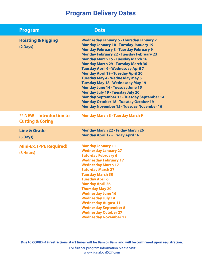| <b>Program</b>                                                 | <b>Date</b>                                                                                                                                                                                                                                                                                                                                                                                                                                                                                                                                                                                                                                                                                                                    |
|----------------------------------------------------------------|--------------------------------------------------------------------------------------------------------------------------------------------------------------------------------------------------------------------------------------------------------------------------------------------------------------------------------------------------------------------------------------------------------------------------------------------------------------------------------------------------------------------------------------------------------------------------------------------------------------------------------------------------------------------------------------------------------------------------------|
| <b>Hoisting &amp; Rigging</b><br>$(2 \text{ Days})$            | <b>Wednesday January 6 - Thursday January 7</b><br><b>Monday January 18 - Tuesday January 19</b><br><b>Monday February 8 - Tuesday February 9</b><br><b>Monday February 22 - Tuesday February 23</b><br><b>Monday March 15 - Tuesday March 16</b><br><b>Monday March 29 - Tuesday March 30</b><br><b>Tuesday April 6 - Wednesday April 7</b><br><b>Monday April 19 - Tuesday April 20</b><br><b>Tuesday May 4 - Wednesday May 5</b><br><b>Tuesday May 18 - Wednesday May 19</b><br><b>Monday June 14 - Tuesday June 15</b><br><b>Monday July 19 - Tuesday July 20</b><br><b>Monday September 13 - Tuesday September 14</b><br><b>Monday October 18 - Tuesday October 19</b><br><b>Monday November 15 - Tuesday November 16</b> |
| <b>** NEW - Introduction to</b><br><b>Cutting &amp; Coring</b> | <b>Monday March 8 - Tuesday March 9</b>                                                                                                                                                                                                                                                                                                                                                                                                                                                                                                                                                                                                                                                                                        |
| <b>Line &amp; Grade</b><br>(5 Days)                            | <b>Monday March 22 - Friday March 26</b><br><b>Monday April 12 - Friday April 16</b>                                                                                                                                                                                                                                                                                                                                                                                                                                                                                                                                                                                                                                           |
| <b>Mini-Ex, (PPE Required)</b><br>(8 Hours)                    | <b>Monday January 11</b><br><b>Wednesday January 27</b><br><b>Saturday February 6</b><br><b>Wednesday February 17</b><br><b>Wednesday March 17</b><br><b>Saturday March 27</b><br><b>Tuesday March 30</b><br><b>Tuesday April 6</b><br><b>Monday April 26</b><br><b>Thursday May 20</b><br><b>Wednesday June 16</b><br><b>Wednesday July 14</b><br><b>Wednesday August 11</b><br><b>Wednesday September 8</b><br><b>Wednesday October 27</b><br><b>Wednesday November 17</b>                                                                                                                                                                                                                                                   |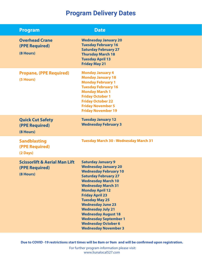| <b>Program</b>                                                          | <b>Date</b>                                                                                                                                                                                                                                                                                                                                                                                                                                       |
|-------------------------------------------------------------------------|---------------------------------------------------------------------------------------------------------------------------------------------------------------------------------------------------------------------------------------------------------------------------------------------------------------------------------------------------------------------------------------------------------------------------------------------------|
| <b>Overhead Crane</b><br>(PPE Required)<br>(8 Hours)                    | <b>Wednesday January 20</b><br><b>Tuesday February 16</b><br><b>Saturday February 27</b><br><b>Thursday March 18</b><br><b>Tuesday April 13</b><br><b>Friday May 21</b>                                                                                                                                                                                                                                                                           |
| <b>Propane, (PPE Required)</b><br>(5 Hours)                             | <b>Monday January 4</b><br><b>Monday January 18</b><br><b>Monday February 1</b><br><b>Tuesday February 16</b><br><b>Monday March 1</b><br><b>Friday October 1</b><br><b>Friday October 22</b><br><b>Friday November 5</b><br><b>Friday November 19</b>                                                                                                                                                                                            |
| <b>Quick Cut Safety</b><br>(PPE Required)<br>(8 Hours)                  | <b>Tuesday January 12</b><br><b>Wednesday February 3</b>                                                                                                                                                                                                                                                                                                                                                                                          |
| <b>Sandblasting</b><br>(PPE Required)<br>$(2 \text{ Days})$             | <b>Tuesday March 30 - Wednesday March 31</b>                                                                                                                                                                                                                                                                                                                                                                                                      |
| <b>Scissorlift &amp; Aerial Man Lift</b><br>(PPE Required)<br>(8 Hours) | <b>Saturday January 9</b><br><b>Wednesday January 20</b><br><b>Wednesday February 10</b><br><b>Saturday February 27</b><br><b>Wednesday March 10</b><br><b>Wednesday March 31</b><br><b>Monday April 12</b><br><b>Friday April 23</b><br><b>Tuesday May 25</b><br><b>Wednesday June 23</b><br><b>Wednesday July 21</b><br><b>Wednesday August 18</b><br><b>Wednesday September 1</b><br><b>Wednesday October 6</b><br><b>Wednesday November 3</b> |

**Due to COVID -19 restrictions start times will be 8am or 9am and will be confirmed upon registration.**

 For further program information please visit: www.liunalocal527.com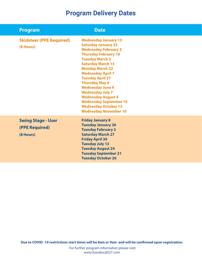| <b>Program</b>                                           | <b>Date</b>                                                                                                                                                                                                                                                                                                                                                                                                                                                                |
|----------------------------------------------------------|----------------------------------------------------------------------------------------------------------------------------------------------------------------------------------------------------------------------------------------------------------------------------------------------------------------------------------------------------------------------------------------------------------------------------------------------------------------------------|
| <b>Skidsteer (PPE Required)</b><br>(8 Hours)             | <b>Wednesday January 13</b><br><b>Saturday January 23</b><br><b>Wednesday February 3</b><br><b>Thursday February 18</b><br><b>Tuesday March 2</b><br><b>Saturday March 13</b><br><b>Monday March 22</b><br><b>Wednesday April 7</b><br><b>Tuesday April 27</b><br><b>Thursday May 6</b><br><b>Wednesday June 9</b><br><b>Wednesday July 7</b><br><b>Wednesday August 4</b><br><b>Wednesday September 15</b><br><b>Wednesday October 13</b><br><b>Wednesday November 10</b> |
| <b>Swing Stage - User</b><br>(PPE Required)<br>(8 Hours) | <b>Friday January 8</b><br><b>Tuesday January 26</b><br><b>Tuesday February 2</b><br><b>Saturday March 27</b><br><b>Friday April 30</b><br><b>Tuesday July 13</b><br><b>Tuesday August 24</b><br><b>Tuesday September 21</b><br><b>Tuesday October 26</b>                                                                                                                                                                                                                  |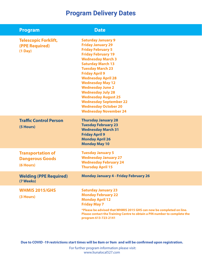| <b>Program</b>                                                  | <b>Date</b>                                                                                                                                                                                                                                                                                                                                                                                                                                                             |
|-----------------------------------------------------------------|-------------------------------------------------------------------------------------------------------------------------------------------------------------------------------------------------------------------------------------------------------------------------------------------------------------------------------------------------------------------------------------------------------------------------------------------------------------------------|
| <b>Telescopic Forklift,</b><br>(PPE Required)<br>$(1$ Day)      | <b>Saturday January 9</b><br><b>Friday January 29</b><br><b>Friday February 5</b><br><b>Friday February 19</b><br><b>Wednesday March 3</b><br><b>Saturday March 13</b><br><b>Tuesday March 23</b><br><b>Friday April 9</b><br><b>Wednesday April 28</b><br><b>Wednesday May 12</b><br><b>Wednesday June 2</b><br><b>Wednesday July 28</b><br><b>Wednesday August 25</b><br><b>Wednesday September 22</b><br><b>Wednesday October 20</b><br><b>Wednesday November 24</b> |
| <b>Traffic Control Person</b><br>(5 Hours)                      | <b>Thursday January 28</b><br><b>Tuesday February 23</b><br><b>Wednesday March 31</b><br><b>Friday April 9</b><br><b>Monday April 26</b><br><b>Monday May 10</b>                                                                                                                                                                                                                                                                                                        |
| <b>Transportation of</b><br><b>Dangerous Goods</b><br>(6 Hours) | <b>Tuesday January 5</b><br><b>Wednesday January 27</b><br><b>Wednesday February 24</b><br><b>Thursday April 15</b>                                                                                                                                                                                                                                                                                                                                                     |
| <b>Welding (PPE Required)</b><br>(7 Weeks)                      | <b>Monday January 4 - Friday February 26</b>                                                                                                                                                                                                                                                                                                                                                                                                                            |
| <b>WHMIS 2015/GHS</b><br>(3 Hours)                              | <b>Saturday January 23</b><br><b>Monday February 22</b><br><b>Monday April 12</b><br><b>Friday May 7</b><br>*Please be advised that WHMIS 2015 GHS can now be completed on line.<br>Please contact the Training Centre to obtain a PIN number to complete the<br>program 613-723-2141                                                                                                                                                                                   |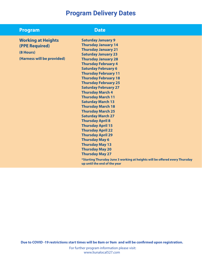#### **Program Date**

**Working at Heights (PPE Required)**

**(8 Hours) (Harness will be provided)** **Saturday January 9 Thursday January 14 Thursday January 21 Saturday January 23 Thursday January 28 Thursday February 4 Saturday February 6 Thursday February 11 Thursday February 18 Thursday February 25 Saturday February 27 Thursday March 4 Thursday March 11 Saturday March 13 Thursday March 18 Thursday March 25 Saturday March 27 Thursday April 8 Thursday April 15 Thursday April 22 Thursday April 29 Thursday May 6 Thursday May 13 Thursday May 20 Thursday May 27**

**\*Starting Thursday June 3 working at heights will be offered every Thursday up until the end of the year**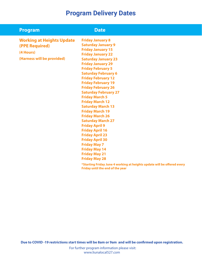| <b>Program</b>                   | <b>Date</b>                                                                                                 |
|----------------------------------|-------------------------------------------------------------------------------------------------------------|
| <b>Working at Heights Update</b> | <b>Friday January 8</b>                                                                                     |
| (PPE Required)                   | <b>Saturday January 9</b>                                                                                   |
|                                  | <b>Friday January 15</b>                                                                                    |
| (4 Hours)                        | <b>Friday January 22</b>                                                                                    |
| (Harness will be provided)       | <b>Saturday January 23</b>                                                                                  |
|                                  | <b>Friday January 29</b>                                                                                    |
|                                  | <b>Friday February 5</b>                                                                                    |
|                                  | <b>Saturday February 6</b>                                                                                  |
|                                  | <b>Friday February 12</b>                                                                                   |
|                                  | <b>Friday February 19</b>                                                                                   |
|                                  | <b>Friday February 26</b>                                                                                   |
|                                  | <b>Saturday February 27</b>                                                                                 |
|                                  | <b>Friday March 5</b>                                                                                       |
|                                  | <b>Friday March 12</b>                                                                                      |
|                                  | <b>Saturday March 13</b>                                                                                    |
|                                  | <b>Friday March 19</b>                                                                                      |
|                                  | <b>Friday March 26</b>                                                                                      |
|                                  | <b>Saturday March 27</b>                                                                                    |
|                                  | <b>Friday April 9</b>                                                                                       |
|                                  | <b>Friday April 16</b>                                                                                      |
|                                  | <b>Friday April 23</b>                                                                                      |
|                                  | <b>Friday April 30</b>                                                                                      |
|                                  | <b>Friday May 7</b>                                                                                         |
|                                  | <b>Friday May 14</b>                                                                                        |
|                                  | <b>Friday May 21</b>                                                                                        |
|                                  | <b>Friday May 28</b>                                                                                        |
|                                  | *Starting Friday June 4 working at heights update will be offered every<br>Friday until the end of the year |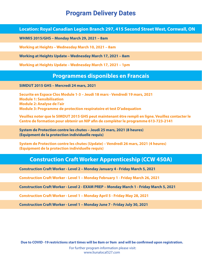**Location: Royal Canadian Legion Branch 297, 415 Second Street West, Cornwall, ON**

**WHMIS 2015/GHS – Monday March 29, 2021 – 8am**

**Working at Heights – Wednesday March 10, 2021 – 8am**

**Working at Heights Update – Wednesday March 17, 2021 – 8am**

**Working at Heights Update – Wednesday March 17, 2021 – 1pm**

#### **Programmes disponibles en Francais**

**SIMDUT 2015 GHS – Mercredi 24 mars, 2021** 

**Securite en Espace Clos Module 1-3 – Jeudi 18 mars - Vendredi 19 mars, 2021 Module 1: Sensibilisation Module 2: Analyse de l'air Module 3: Programme de protection respiratoire et test D'adequation**

**Veuillez noter que le SIMDUT 2015 GHS peut maintenant être rempli en ligne. Veuillez contacter le Centre de formation pour obtenir un NIP afin de compléter le programme 613-723-2141**

**System de Protection contre les chutes – Jeudi 25 mars, 2021 (8 heures) (Equipment de la protection individuelle requis)**

**System de Protection contre les chutes (Update) – Vendredi 26 mars, 2021 (4 heures) (Equipment de la protection individuelle requis)**

#### **Construction Craft Worker Apprenticeship (CCW 450A)**

**Construction Craft Worker - Level 2 – Monday January 4 - Friday March 5, 2021** 

**Construction Craft Worker - Level 1 – Monday February 1 - Friday March 26, 2021** 

**Construction Craft Worker - Level 2 - EXAM PREP – Monday March 1 - Friday March 5, 2021** 

**Construction Craft Worker - Level 1 – Monday April 5 - Friday May 28, 2021** 

**Construction Craft Worker - Level 1 – Monday June 7 - Friday July 30, 2021**

**Due to COVID -19 restrictions start times will be 8am or 9am and will be confirmed upon registration.**

 For further program information please visit: www.liunalocal527.com